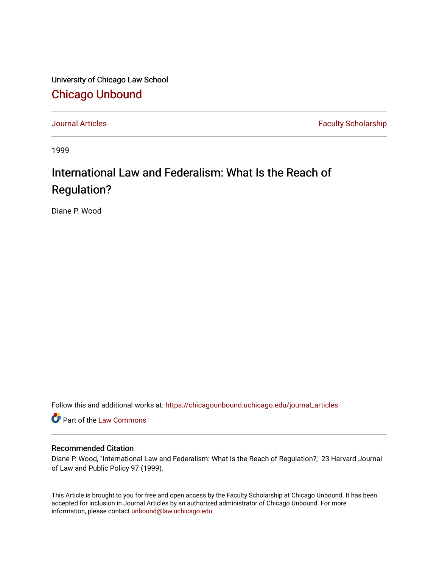University of Chicago Law School [Chicago Unbound](https://chicagounbound.uchicago.edu/)

[Journal Articles](https://chicagounbound.uchicago.edu/journal_articles) **Faculty Scholarship Faculty Scholarship** 

1999

# International Law and Federalism: What Is the Reach of Regulation?

Diane P. Wood

Follow this and additional works at: [https://chicagounbound.uchicago.edu/journal\\_articles](https://chicagounbound.uchicago.edu/journal_articles?utm_source=chicagounbound.uchicago.edu%2Fjournal_articles%2F2057&utm_medium=PDF&utm_campaign=PDFCoverPages) 

Part of the [Law Commons](http://network.bepress.com/hgg/discipline/578?utm_source=chicagounbound.uchicago.edu%2Fjournal_articles%2F2057&utm_medium=PDF&utm_campaign=PDFCoverPages)

# Recommended Citation

Diane P. Wood, "International Law and Federalism: What Is the Reach of Regulation?," 23 Harvard Journal of Law and Public Policy 97 (1999).

This Article is brought to you for free and open access by the Faculty Scholarship at Chicago Unbound. It has been accepted for inclusion in Journal Articles by an authorized administrator of Chicago Unbound. For more information, please contact [unbound@law.uchicago.edu](mailto:unbound@law.uchicago.edu).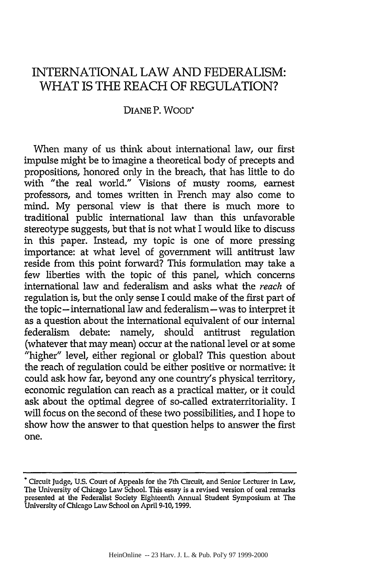# INTERNATIONAL LAW AND FEDERALISM: WHAT IS THE REACH OF REGULATION?

# DIANE P. WOOD\*

When many of us think about international law, our first impulse might be to imagine a theoretical body of precepts and propositions, honored only in the breach, that has little to do with "the real world." Visions of musty rooms, earnest professors, and tomes written in French may also come to mind. My personal view is that there is much more to traditional public international law than this unfavorable stereotype suggests, but that is not what I would like to discuss in this paper. Instead, my topic is one of more pressing importance: at what level of government will antitrust law reside from this point forward? This formulation may take a few liberties with the topic of this panel, which concerns international law and federalism and asks what the *reach* of regulation is, but the only sense I could make of the first part of the topic- international law and federalism-was to interpret it as a question about the international equivalent of our internal federalism debate: namely, should antitrust regulation (whatever that may mean) occur at the national level or at some "higher" level, either regional or global? This question about the reach of regulation could be either positive or normative: it could ask how far, beyond any one country's physical territory, economic regulation can reach as a practical matter, or it could ask about the optimal degree of so-called extraterritoriality. I will focus on the second of these two possibilities, and I hope to show how the answer to that question helps to answer the first one.

<sup>.</sup>Circuit Judge, **U.S.** Court of Appeals for the 7th Circuit, and Senior Lecturer in Law, The University of Chicago Law School. This essay is a revised version of oral remarks presented at the Federalist Society Eighteenth Annual Student Symposium at The University of Chicago Law School on April **9-10,1999.**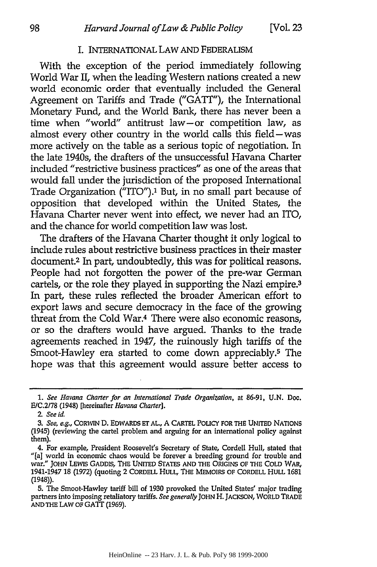#### I. INTERNATIONAL LAW **AND** FEDERALISM

With the exception of the period immediately following World War II, when the leading Western nations created a new world economic order that eventually included the General Agreement on Tariffs and Trade **("GATT"),** the International Monetary Fund, and the World Bank, there has never been a time when "world" antitrust law-or competition law, as almost every other country in the world calls this field-was more actively on the table as a serious topic of negotiation. In the late 1940s, the drafters of the unsuccessful Havana Charter included "restrictive business practices" as one of the areas that would fall under the jurisdiction of the proposed International Trade Organization ("ITO").<sup>1</sup> But, in no small part because of opposition that developed within the United States, the Havana Charter never went into effect, we never had an ITO, and the chance for world competition law was lost.

The drafters of the Havana Charter thought it only logical to include rules about restrictive business practices in their master document.2 In part, undoubtedly, this was for political reasons. People had not forgotten the power of the pre-war German cartels, or the role they played in supporting the Nazi empire.<sup>3</sup> In part, these rules reflected the broader American effort to export laws and secure democracy in the face of the growing threat from the Cold War.4 There were also economic reasons, or so the drafters would have argued. Thanks to the trade agreements reached in 1947, the ruinously high tariffs of the Smoot-Hawley era started to come down appreciably.<sup>5</sup> The hope was that this agreement would assure better access to

*<sup>1.</sup>* See Havana Charter for an International Trade Organization, at 86-91, **U.N.** Doc. E/C.2/78 (1948) [hereinafter Havana Charter].

*<sup>2.</sup>* See id.

*<sup>3.</sup>* See, e.g., CORWIN **D.** EDWARDS **ET AL,** A CARTEL POLICY FOR **THE UNITED** NATIONS (1945) (reviewing the cartel problem and arguing for an international policy against them).

<sup>4.</sup> For example, President Roosevelt's Secretary of State, Cordell Hull, stated that "[a] world in economic chaos would be forever a breeding ground for trouble and war." JOHN LEWIS GADDIS, THE UNITED STATES AND THE ORIGINS OF THE COLD WAR, 1941-1947 **18** (1972) (quoting 2 CORDELL HULL, THE MEMOIRS OF CORDELL HULL **1681** (1948)).

**<sup>5.</sup>** The Smoot-Hawley tariff bill of **1930** provoked the United States' major trading partners into imposing retaliatory tariffs. See generally **JOHN** H. **JACKSON,** WORLD TRADE **AND** THE LAW OF GAIT **(1969).**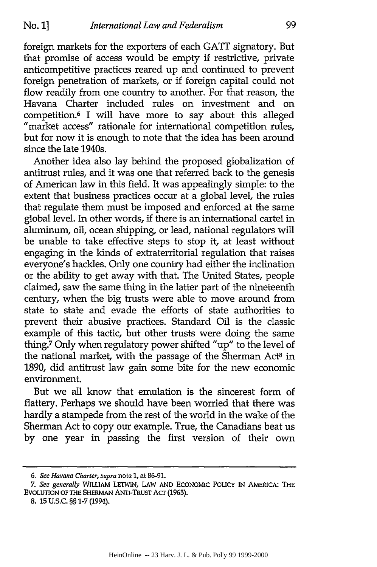foreign markets for the exporters of each GATT signatory. But that promise of access would be empty if restrictive, private anticompetitive practices reared up and continued to prevent foreign penetration of markets, or **if** foreign capital could not flow readily from one country to another. For that reason, the Havana Charter included rules on investment and on competition. 6 I will have more to say about this alleged "market access" rationale for international competition rules, but for now it is enough to note that the idea has been around since the late 1940s.

Another idea also lay behind the proposed globalization of antitrust rules, and it was one that referred back to the genesis of American law in this field. It was appealingly simple: to the extent that business practices occur at a global level, the rules that regulate them must be imposed and enforced at the same global level. In other words, if there is an international cartel in aluminum, oil, ocean shipping, or lead, national regulators will be unable to take effective steps to stop it, at least without engaging in the kinds of extraterritorial regulation that raises everyone's hackles. Only one country had either the inclination or the ability to get away with that. The United States, people claimed, saw the same thing in the latter part of the nineteenth century, when the big trusts were able to move around from state to state and evade the efforts of state authorities to prevent their abusive practices. Standard Oil is the classic example of this tactic, but other trusts were doing the same thing.7 Only when regulatory power shifted "up" to the level of the national market, with the passage of the Sherman Act<sup>8</sup> in 1890, did antitrust law gain some bite for the new economic environment.

But we all know that emulation is the sincerest form of flattery. Perhaps we should have been worried that there was hardly a stampede from the rest of the world in the wake of the Sherman Act to copy our example. True, the Canadians beat us by one year in passing the first version of their own

**8. 15 U.S.C.** §§ **1-7** (1994).

*<sup>6.</sup> See Havana* Charter, *supra* note **1,** at **86-91.**

*<sup>7.</sup>* See *generally* **WILLIAM LETWIN, LAW** AND EcoNoMic PoLIcY IN **AMERICA: THE** EVOLUTION OF **THE** SHERMAN ANTI-TRUSr **Acr (1965).**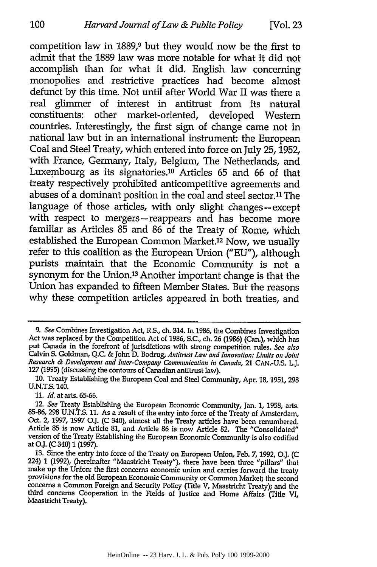competition law in 1889,9 but they would now be the first to admit that the 1889 law was more notable for what it did not accomplish than for what it did. English law concerning monopolies and restrictive practices had become almost defunct by this time. Not until after World War II was there a real glimmer of interest in antitrust from its natural constituents: other market-oriented, developed Western countries. Interestingly, the first sign of change came not in national law but in an international instrument: the European Coal and Steel Treaty, which entered into force on July 25, 1952, with France, Germany, Italy, Belgium, The Netherlands, and Luxembourg as its signatories.10 Articles 65 and 66 of that treaty respectively prohibited anticompetitive agreements and abuses of a dominant position in the coal and steel sector.<sup>11</sup> The language of those articles, with only slight changes-except with respect to mergers-reappears and has become more familiar as Articles 85 and 86 of the Treaty of Rome, which established the European Common Market.<sup>12</sup> Now, we usually refer to this coalition as the European Union ("EU"), although purists maintain that the Economic Community is not a synonym for the Union.<sup>13</sup> Another important change is that the Union has expanded to fifteen Member States. But the reasons why these competition articles appeared in both treaties, and

11. *Id.* at arts. 65-66.

100

<sup>9.</sup> *See* Combines Investigation Act, R.S., ch. 314. In 1986, the Combines Investigation Act was replaced by the Competition Act of 1986, S.C., ch. 26 (1986) (Can.), which has put Canada in the forefront of jurisdictions with strong competition rules. *See also* Calvin S. Goldman, Q.C. & John D. Bodrug, *Antitrust Law and Innovation: Limits on Joint Research & Development and Inter-Company Communication in Canada,* 21 CAN.-U.S. L.J. 127 (1995) (discussing the contours of Canadian antitrust law).

<sup>10.</sup> Treaty Establishing the European Coal and Steel Community, Apr. 18, 1951, 298 **U.N.T.S.** 140.

*<sup>12</sup> See* Treaty Establishing the European Economic Community, Jan. **1, 1958,** arts. **85-86, 298 U.N.T.S. 11.** As a result of the entry into force of the Treaty of Amsterdam, Oct. 2, **1997, 1997 O.J. (C** 340), almost all the Treaty articles have been renumbered. Article **85** is now Article **81,** and Article **86** is now Article **82.** The "Consolidated" version of the Treaty Establishing the European Economic Community is also codified at **O.J.** (C 340) 1 (1997).

<sup>13.</sup> Since the entry into force of the Treaty on European Union, Feb. 7, 1992, **O.J.** (C 224) 1 (1992), (hereinafter "Maastricht Treaty"), there have been three "pillars" that make up the Union: the first concerns economic union and carries forward the treaty<br>provisions for the old European Economic Community or Common Market; the second<br>concerns a Common Foreign and Security Policy (Title V, Ma third concerns Cooperation in the Fields of Justice and Home Affairs (Title VI, Maastricht Treaty).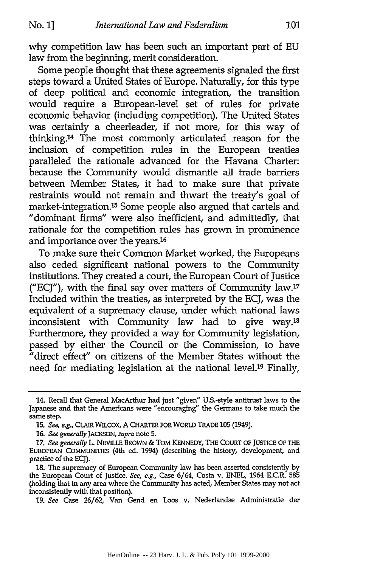why competition law has been such an important part of EU law from the beginning, merit consideration.

Some people thought that these agreements signaled the first steps toward a United States of Europe. Naturally, for this type of deep political and economic integration, the transition would require a European-level set of rules for private economic behavior (including competition). The United States was certainly a cheerleader, if not more, for this way of thinking.14 The most commonly articulated reason for the inclusion of competition rules in the European treaties paralleled the rationale advanced for the Havana Charter: because the Community would dismantle all trade barriers between Member States, it had to make sure that private restraints would not remain and thwart the treaty's goal of market-integration. 15 Some people also argued that cartels and "dominant firms" were also inefficient, and admittedly, that rationale for the competition rules has grown in prominence and importance over the years.16

To make sure their Common Market worked, the Europeans also ceded significant national powers to the Community institutions. They created a court, the European Court of Justice ("ECJ"), with the final say over matters of Community law.'7 Included within the treaties, as interpreted by the ECJ, was the equivalent of a supremacy clause, under which national laws inconsistent with Community law had to give way. $18$ Furthermore, they provided a way for Community legislation, passed by either the Council or the Commission, to have  $\alpha$ <sup>r</sup>direct effect" on citizens of the Member States without the need for mediating legislation at the national level.<sup>19</sup> Finally,

<sup>14.</sup> Recall that General MacArthur had just "given" U.S.-style antitrust laws to the Japanese and that the Americans were "encouraging" the Germans to take much the same step.

*<sup>15.</sup> See, e.g.,* CLAIR WILCOX, **A CHARTER FOR WORLD TRADE 105** (1949).

**<sup>16.</sup>** *See generally JACKSON, supra* note **5.**

**<sup>17.</sup>** *See generally* L. NEVILLE BROWN **&** TOM **KENNEDY,** THE **COURT** OF JUSTICE **OF** THE EUROPEAN **COMMUNITIES** (4th ed. 1994) (describing the history, development, and practice of the **ECJ).**

**<sup>18.</sup>** The supremacy of European Community law has been asserted consistently **by** the European Court of Justice. *See, e.g.,* Case 6/64, Costa v. **ENEL,** 1964 E.C.R. **585** (holding that in any area where the Community has acted, Member States may not act inconsistently with that position).

**<sup>19.</sup>** *See* Case **26/62,** Van Gend en Loos v. Nederlandse Administratie der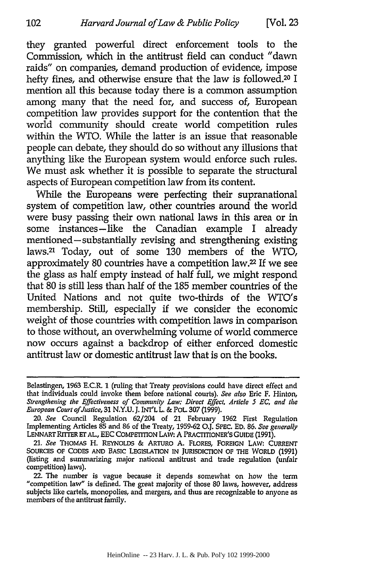they granted powerful direct enforcement tools to the Commission, which in the antitrust field can conduct "dawn raids" on companies, demand production of evidence, impose hefty fines, and otherwise ensure that the law is followed. <sup>20</sup>**I** mention all **this** because today there is a common assumption among many that the need for, and success of, European competition law provides support for the contention that the world community should create world competition rules within the WTO. While the latter is an issue that reasonable people can debate, they should do so without any illusions that anything like the European system would enforce such rules. We must ask whether it is possible to separate the structural aspects of European competition law from its content.

While the Europeans were perfecting their supranational system of competition law, other countries around the world were busy passing their own national laws in this area or in some instances-like the Canadian example I already mentioned- substantially revising and strengthening existing laws.21 Today, out of some **130** members of the WTO, approximately **80** countries have a competition law.22 If we see the glass as half empty instead of half full, we might respond that **80** is still less than half of the **185** member countries of the United Nations and not quite two-thirds of the WTO's membership. Still, especially **if** we consider the economic weight of those countries with competition laws in comparison to those without, an overwhelming volume of world commerce now occurs against a backdrop of either enforced domestic antitrust law or domestic antitrust law that is on the books.

Belastingen, **1963** E.C.R. **1** (ruling that Treaty provisions could have direct effect and that individuals could invoke them before national courts). *See also* Eric F. Hinton, *Strengthening the Effectiveness of Community Law: Direct Effect, Article 5* **EC,** *and the European Court ofJustice,* 31 N.Y.U. **J.** INT'L L. **& POL. 307** (1999).

*<sup>20.</sup> See* Council Regulation 62/204 of 21 February 1962 First Regulation Implementing Articles 85 and 86 of the Treaty, 1959-62 0.J. SPEC. **ED.** 86. *See generally* LENNART RITTER ET AL., EEC COMPETITION LAW: A PRACTITIONER'S GUIDE (1991).

<sup>21.</sup> *See* **THOMAS** H. REYNOLDS **&** ARTURO **A.** FLORES, **FOREIGN** LAW: CURRENT **SOURCES** OF **CODES** AND BASIC **LEGISLATION** IN JURISDICTION **OF** THE WORLD **(1991)** (listing and summarizing major national antitrust and trade regulation (unfair competition) laws).

<sup>22.</sup> The number is vague because it depends somewhat on how the term "competition law" is defined. The great majority of those **80** laws, however, address subjects like cartels, monopolies, and mergers, and thus are recognizable to anyone as members of the antitrust family.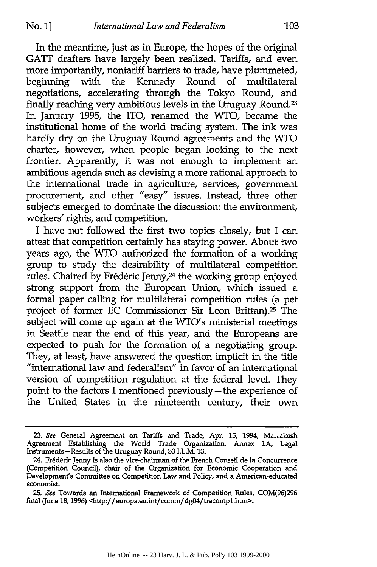In the meantime, just as in Europe, the hopes of the original **GATT** drafters have largely been realized. Tariffs, and even more importantly, nontariff barriers to trade, have plummeted, beginning with the Kennedy Round of multilateral negotiations, accelerating through the Tokyo Round, and finally reaching very ambitious levels in the Uruguay Round.<sup>23</sup> In January 1995, the ITO, renamed the WTO, became the institutional home of the world trading system. The ink was hardly dry on the Uruguay Round agreements and the WTO charter, however, when people began looking to the next frontier. Apparently, it was not enough to implement an ambitious agenda such as devising a more rational approach to the international trade in agriculture, services, government procurement, and other "easy" issues. Instead, three other subjects emerged to dominate the discussion: the environment, workers' rights, and competition.

I have not followed the first two topics closely, but I can attest that competition certainly has staying power. About two years ago, the WTO authorized the formation of a working group to study the desirability of multilateral competition rules. Chaired by Frédéric Jenny,<sup>24</sup> the working group enjoyed strong support from the European Union, which issued a formal paper calling for multilateral competition rules (a pet project of former EC Commissioner Sir Leon Brittan).25 The subject will come up again at the WTO's ministerial meetings in Seattle near the end of this year, and the Europeans are expected to push for the formation of a negotiating group. They, at least, have answered the question implicit in the title "international law and federalism" in favor of an international version of competition regulation at the federal level. They point to the factors I mentioned previously-the experience of the United States in the nineteenth century, their own

<sup>23.</sup> *See* General Agreement on Tariffs and Trade, Apr. 15, 1994, Marrakesh Agreement Establishing the World Trade Organization, Annex **1A,** Legal Instruments-Results of the Uruguay Round, **33** I.L.M. **13.**

<sup>24.</sup> Frederic Jenny is also the vice-chairman of the French Conseil de **la** Concurrence (Competition Council), chair of the Organization for Economic Cooperation and Development's Committee on Competition Law and Policy, and a American-educated economist.

**<sup>25.</sup>** *See* Towards an International Framework of Competition Rules, **COM(96)296** final (June 18, 1996) <http://europa.eu.int/comm/dg04/tracomp1.htm>.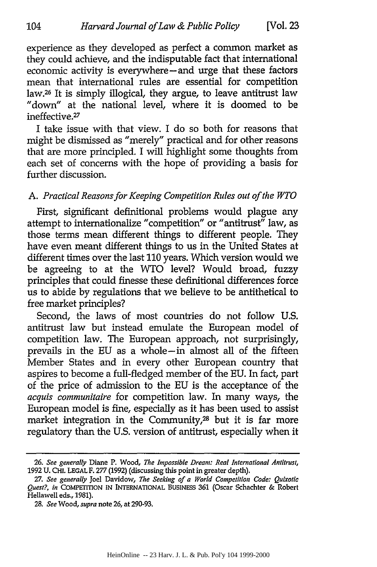experience as they developed as perfect a common market as they could achieve, and the indisputable fact that international economic activity is everywhere-and urge that these factors mean that international rules are essential for competition law.26 It is simply illogical, they argue, to leave antitrust law "down" at the national level, where it is doomed to be ineffective.<sup>27</sup>

I take issue with that view. I do so both for reasons that might be dismissed as "merely" practical and for other reasons that are more principled. I will highlight some thoughts from each set of concerns with the hope of providing a basis for further discussion.

# *A. Practical Reasons for Keeping Competition Rules out of the WTO*

First, significant definitional problems would plague any attempt to internationalize "competition" or "antitrust" law, as those terms mean different things to different people. They have even meant different things to us in the United States at different times over the last **110** years. Which version would we be agreeing to at the WTO level? Would broad, fuzzy principles that could finesse these definitional differences force us to abide by regulations that we believe to be antithetical to free market principles?

Second, the laws of most countries do not follow U.S. antitrust law but instead emulate the European model of competition law. The European approach, not surprisingly, prevails in the EU as a whole-in almost all of the fifteen Member States and in every other European country that aspires to become a full-fledged member of the EU. In fact, part of the price of admission to the EU is the acceptance of the *acquis communitaire* for competition law. In many ways, the European model is fine, especially as it has been used to assist market integration in the Community,<sup>28</sup> but it is far more regulatory than the U.S. version of antitrust, especially when it

*<sup>26.</sup> See generally* Diane P. Wood, *The Impossible Dream: Real International Antitrust,* **1992 U. CHI. LEGAL F. 277 (1992)** (discussing **this point in greater depth).**

**<sup>27.</sup>** *See generally* Joel Davidow, *The Seeking of a World Competition* Code: Quixotic Quest?, in **COMPETITION IN INTERNATIONAL** BUSINESS 361 (Oscar Schachter & Robert **Hellawell eds., 1981).**

**<sup>28.</sup>** *See Wood, supra* note **26,** at **290-93.**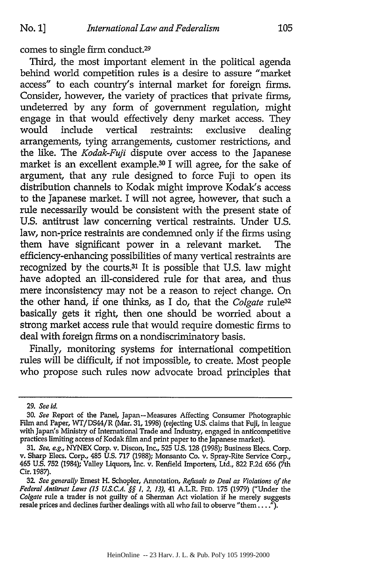comes to single firm conduct.29

Third, the most important element in the political agenda behind world competition rules is a desire to assure "market access" to each country's internal market for foreign firms. Consider, however, the variety of practices that private firms, undeterred by any form of government regulation, might engage in that would effectively deny market access. They would include vertical restraints: exclusive dealing arrangements, tying arrangements, customer restrictions, and the like. The *Kodak-Fuji* dispute over access to the Japanese market is an excellent example.<sup>30</sup> I will agree, for the sake of argument, that any rule designed to force Fuji to open its distribution channels to Kodak might improve Kodak's access to the Japanese market. I will not agree, however, that such a rule necessarily would be consistent with the present state of U.S. antitrust law concerning vertical restraints. Under U.S. law, non-price restraints are condemned only if the firms using them have significant power in a relevant market. The efficiency-enhancing possibilities of many vertical restraints are recognized by the courts. $31$  It is possible that U.S. law might have adopted an ill-considered rule for that area, and thus mere inconsistency may not be a reason to reject change. On the other hand, if one thinks, as I do, that the *Colgate* rule32 basically gets it right, then one should be worried about a strong market access rule that would require domestic firms to deal with foreign firms on a nondiscriminatory basis.

Finally, monitoring systems for international competition rules will be difficult, if not impossible, to create. Most people who propose such rules now advocate broad principles that

**<sup>29.</sup>** *See id.*

**<sup>30.</sup>** *See* Report of the Panel, Japan-Measures Affecting Consumer Photographic Film and Paper, WT/DS44/R (Mar. **31,** 1998) (rejecting **U.S.** claims that Fuji, in league with Japan's Ministry of International Trade and Industry, engaged in anticompetitive practices limiting access of Kodak film and print paper to the Japanese market).

**<sup>31.</sup>** *See, e.g.,* **NYNEX** Corp. v. Discon, Inc., **525 U.S. 128 (1998);** Business Elecs. Corp. v. Sharp Elecs. Corp., 485 **U.S. 717 (1988);** Monsanto Co. v. Spray-Rite Service Corp., 465 **U.S. 752** (1984); Valley Liquors, Inc. v. Renfield Importers, Ltd., **822 F.2d 656** (7th Cir. 1987).

**<sup>32</sup>** *See generally* Ernest H. Schopler, Annotation, *Refusals to Deal as Violations of the Federal Antitrust Laws (15 U.S.C.A. §§ 1. 2, 13),* 41 A.L.R. **FED. 175 (1979)** ("Under the *Colgate* rule a trader is not guilty of a Sherman Act violation if he merely suggests resale prices and declines further dealings with all who fail to observe "them....").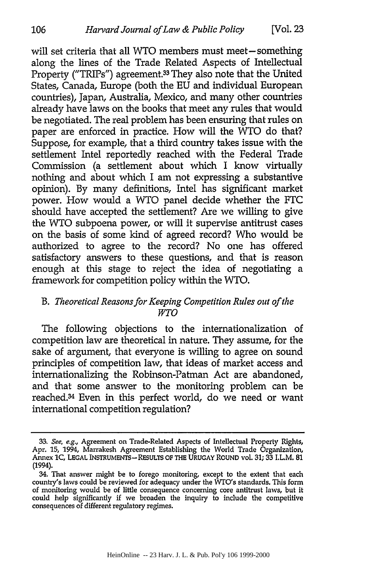will set criteria that all WTO members must meet-something along the lines of the Trade Related Aspects of Intellectual Property ("TRIPs") agreement.33 They also note that the United States, Canada, Europe (both the EU and individual European countries), Japan, Australia, Mexico, and many other countries already have laws on the books that meet any rules that would be negotiated. The real problem has been ensuring that rules on paper are enforced in practice. How will the WTO do that? Suppose, for example, that a third country takes issue with the settlement Intel reportedly reached with the Federal Trade Commission (a settlement about which I know virtually nothing and about which I am not expressing a substantive opinion). By many definitions, Intel has significant market power. How would a WTO panel decide whether the FTC should have accepted the settlement? Are we willing to give the WTO subpoena power, or will it supervise antitrust cases on the basis of some kind of agreed record? Who would be authorized to agree to the record? No one has offered satisfactory answers to these questions, and that is reason enough at this stage to reject the idea of negotiating a framework for competition policy within the WTO.

# *B. Theoretical Reasons for Keeping Competition Rules out of the WTO*

The following objections to the internationalization of competition law are theoretical in nature. They assume, for the sake of argument, that everyone is willing to agree on sound principles of competition law, that ideas of market access and internationalizing the Robinson-Patman Act are abandoned, and that some answer to the monitoring problem can be reached.34 Even in this perfect world, do we need or want international competition regulation?

106

<sup>33.</sup> *See, e.g.,* Agreement on Trade-Related Aspects of Intellectual Property Rights, Apr. 15, 1994, Marrakesh Agreement Establishing the World Trade Organization, Annex **1C,** LEGAL **INSTRUMENTS-RESULS** OF **THE URUGAY** ROUND vol. 31; **33** I.L.M. **81** (1994).

<sup>34.</sup> That answer might be to forego monitoring, except to the extent that each country's laws could be reviewed for adequacy under the WTO's standards. This form of monitoring would be of little consequence concerning core antitrust laws, but it could help significantly **if** we broaden the inquiry to include the competitive consequences of different regulatory regimes.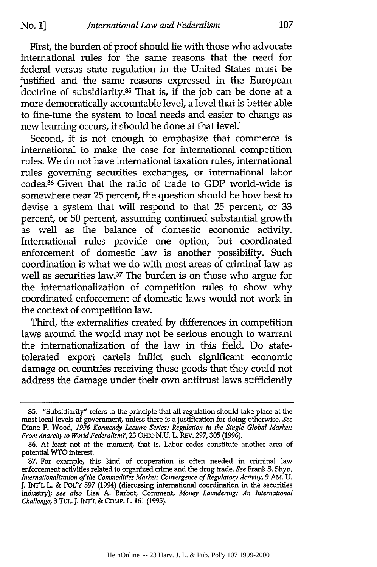First, the burden of proof should lie with those who advocate international rules for the same reasons that the need for federal versus state regulation in the United States must be justified and the same reasons expressed in the European doctrine of subsidiarity.35 That is, if the job can be done at a more democratically accountable level, a level that is better able to fine-tune the system to local needs and easier to change as new learning occurs, it should be done at that level.'

Second, it is not enough to emphasize that commerce is international to make the case for international competition rules. We do not have international taxation rules, international rules governing securities exchanges, or international labor codes.36 Given that the ratio of trade to GDP world-wide is somewhere near 25 percent, the question should be how best to devise a system that will respond to that 25 percent, or 33 percent, or 50 percent, assuming continued substantial growth as well as the balance of domestic economic activity. International rules provide one option, but coordinated enforcement of domestic law is another possibility. Such coordination is what we do with most areas of criminal law as well as securities law.37 The burden is on those who argue for the internationalization of competition rules to show why coordinated enforcement of domestic laws would not work in the context of competition law.

Third, the externalities created by differences in competition laws around the world may not be serious enough to warrant the internationalization of the law in this field. Do statetolerated export cartels inflict such significant economic damage on countries receiving those goods that they could not address the damage under their own antitrust laws sufficiently

**<sup>35.</sup>** "Subsidiarity" refers to the principle that all regulation should take place at the most local levels of government, unless there is a justification for doing otherwise. *See* Diane P. Wood, *1996 Kormendy Lecture Series: Regulation in the Single Global Market: From Anarchy to World Federalism?,* **23 OHIO N.U.** L. REV. **297,305 (1996).**

**<sup>36.</sup>** At least not at the moment, that is. Labor codes constitute another area of potential WTO interest.

**<sup>37.</sup>** For example, this kind of cooperation is often needed in criminal law enforcement activities related to organized crime and the drug trade. *See* Frank **S.** Shyn, *Internationalization of the Commodities Market: Convergence of Regulatory Activity,* **9** AM. **U. J.** INTL L. **& POL'Y 597** (1994) (discussing international coordination in the securities industry); *see also* Lisa **A.** Barbot, Comment, *Money Laundering: An International Challenge,* 3 TUL **J.** INT'L **&** COMP. L. **161 (1995).**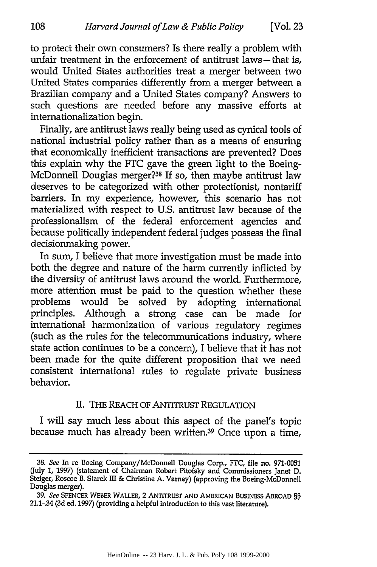to protect their own consumers? Is there really a problem with unfair treatment in the enforcement of antitrust laws—that is, would United States authorities treat a merger between two United States companies differently from a merger between a Brazilian company and a United States company? Answers to such questions are needed before any massive efforts at internationalization begin.

Finally, are antitrust laws really being used as cynical tools of national industrial policy rather than as a means of ensuring that economically inefficient transactions are prevented? Does this explain why the FTC gave the green light to the Boeing-McDonnell Douglas merger?38 If so, then maybe antitrust law deserves to be categorized with other protectionist, nontariff barriers. In my experience, however, this scenario has not materialized with respect to U.S. antitrust law because of the professionalism of the federal enforcement agencies and because politically independent federal judges possess the final decisionmaking power.

In sum, I believe that more investigation must be made into both the degree and nature of the harm currently inflicted by the diversity of antitrust laws around the world. Furthermore, more attention must be paid to the question whether these problems would be solved by adopting international principles. Although a strong case can be made for international harmonization of various regulatory regimes (such as the rules for the telecommunications industry, where state action continues to be a concern), I believe that it has not been made for the quite different proposition that we need consistent international rules to regulate private business behavior.

# II. THE REACH OF ANTITRUST REGULATION

I will say much less about this aspect of the panel's topic because much has already been written.39 Once upon a time,

*<sup>38.</sup>* See In re Boeing Company/McDonnell Douglas Corp., FTC, file no. **971-0051** (July **1, 1997)** (statement of Chairman Robert Pitofsky and Commissioners Janet D. Steiger, Roscoe B. Starek III & Christine A. Vamey) (approving the Boeing-McDonnell Douglas merger).

*<sup>39.</sup>* See **SPENCER WEBER** WALLER, 2 ANTITRUST **AND** AMERICAN **BUSINESS** ABROAD *§§* 21.1-.34 **(3d** ed. 1997) (providing a helpful introduction to this vast literature).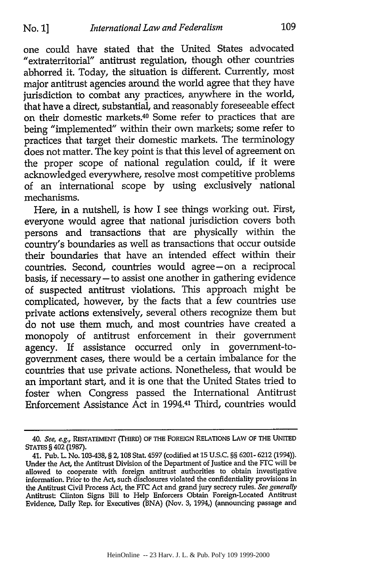one could have stated that the United States advocated "extraterritorial" antitrust regulation, though other countries abhorred it. Today, the situation is different. Currently, most major antitrust agencies around the world agree that they have jurisdiction to combat any practices, anywhere in the world, that have a direct, substantial, and reasonably foreseeable effect on their domestic markets.40 Some refer to practices that are being "implemented" within their own markets; some refer to practices that target their domestic markets. The terminology does not matter. The key point is that this level of agreement on the proper scope of national regulation could, if it were acknowledged everywhere, resolve most competitive problems of an international scope by using exclusively national mechanisms.

Here, in a nutshell, is how I see things working out. First, everyone would agree that national jurisdiction covers both persons and transactions that are physically within the country's boundaries as well as transactions that occur outside their boundaries that have an intended effect within their countries. Second, countries would agree-on a reciprocal basis, if necessary-to assist one another in gathering evidence of suspected antitrust violations. This approach might be complicated, however, by the facts that a few countries use private actions extensively, several others recognize them but do not use them much, and most countries have created a monopoly of antitrust enforcement in their government agency. If assistance occurred only in government-togovernment cases, there would be a certain imbalance for the countries that use private actions. Nonetheless, that would be an important start, and it is one that the United States tried to foster when Congress passed the International Antitrust Enforcement Assistance Act in 1994.41 Third, countries would

<sup>40.</sup> *See, e.g.,* RESTATEMENT (THIRD) OF **THE FOREIGN** RELATIONS LAW OF THE UNITED STATES § 402 (1987).

<sup>41.</sup> Pub. L. No. 103-438, § 2,108 Stat. 4597 (codified at 15 U.S.C. §§ 6201- 6212 (1994)). Under the Act, the Antitrust Division of the Department of Justice and the FTC will be allowed to cooperate with foreign antitrust authorities to obtain investigative information. Prior to the Act, such disclosures violated the confidentiality provisions in the Antitrust Civil Process Act, the **FTC** Act and grand jury secrecy rules. *See generally* Antitrust: Clinton Signs Bill to Help Enforcers Obtain Foreign-Located Antitrust Evidence, Daily Rep. for Executives (BNA) (Nov. 3, 1994,) (announcing passage and